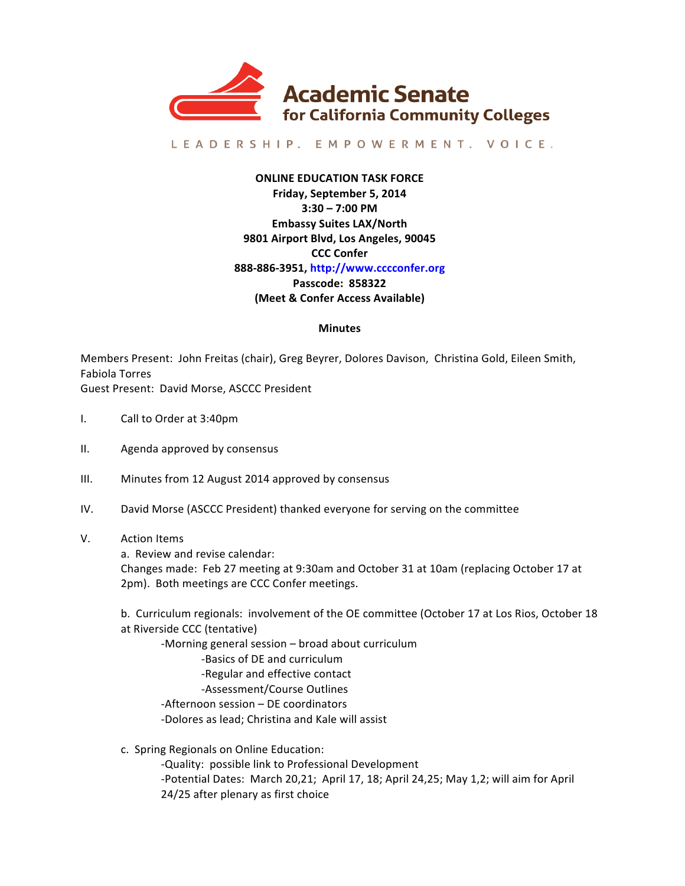

### LEADERSHIP. EMPOWERMENT. VOICE.

# **ONLINE EDUCATION TASK FORCE Friday, September 5, 2014 3:30 – 7:00 PM Embassy Suites LAX/North 9801 Airport Blvd, Los Angeles, 90045 CCC Confer 888-886-3951, http://www.cccconfer.org Passcode: 858322 (Meet & Confer Access Available)**

#### **Minutes**

Members Present: John Freitas (chair), Greg Beyrer, Dolores Davison, Christina Gold, Eileen Smith, Fabiola Torres Guest Present: David Morse, ASCCC President

- I. Call to Order at 3:40pm
- II. Agenda approved by consensus
- III. Minutes from 12 August 2014 approved by consensus
- IV. David Morse (ASCCC President) thanked everyone for serving on the committee
- V. Action Items
	- a. Review and revise calendar:

Changes made: Feb 27 meeting at 9:30am and October 31 at 10am (replacing October 17 at 2pm). Both meetings are CCC Confer meetings.

b. Curriculum regionals: involvement of the OE committee (October 17 at Los Rios, October 18 at Riverside CCC (tentative)

-Morning general session – broad about curriculum -Basics of DE and curriculum -Regular and effective contact -Assessment/Course Outlines

-Afternoon session - DE coordinators

-Dolores as lead; Christina and Kale will assist

c. Spring Regionals on Online Education: -Quality: possible link to Professional Development -Potential Dates: March 20,21; April 17, 18; April 24,25; May 1,2; will aim for April 24/25 after plenary as first choice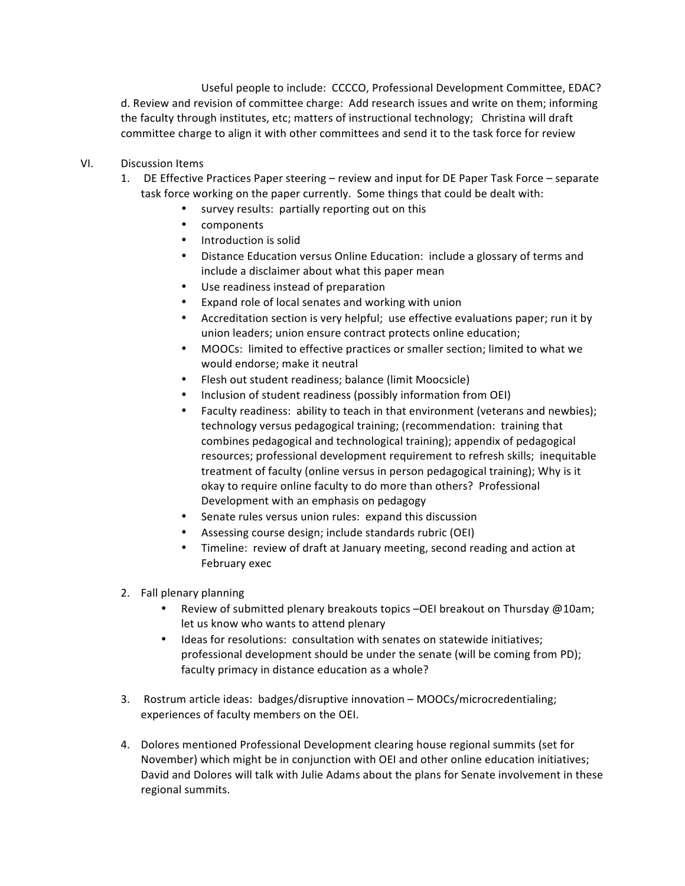Useful people to include: CCCCO, Professional Development Committee, EDAC? d. Review and revision of committee charge: Add research issues and write on them; informing the faculty through institutes, etc; matters of instructional technology; Christina will draft committee charge to align it with other committees and send it to the task force for review

### VI. Discussion Items

- 1. DE Effective Practices Paper steering review and input for DE Paper Task Force separate task force working on the paper currently. Some things that could be dealt with:
	- survey results: partially reporting out on this
	- components
	- Introduction is solid
	- Distance Education versus Online Education: include a glossary of terms and include a disclaimer about what this paper mean
	- Use readiness instead of preparation
	- Expand role of local senates and working with union
	- Accreditation section is very helpful; use effective evaluations paper; run it by union leaders; union ensure contract protects online education;
	- MOOCs: limited to effective practices or smaller section; limited to what we would endorse; make it neutral
	- Flesh out student readiness; balance (limit Moocsicle)
	- Inclusion of student readiness (possibly information from OEI)
	- Faculty readiness: ability to teach in that environment (veterans and newbies); technology versus pedagogical training; (recommendation: training that combines pedagogical and technological training); appendix of pedagogical resources; professional development requirement to refresh skills; inequitable treatment of faculty (online versus in person pedagogical training); Why is it okay to require online faculty to do more than others? Professional Development with an emphasis on pedagogy
	- Senate rules versus union rules: expand this discussion
	- Assessing course design; include standards rubric (OEI)
	- Timeline: review of draft at January meeting, second reading and action at February exec
- 2. Fall plenary planning
	- Review of submitted plenary breakouts topics -OEI breakout on Thursday @10am; let us know who wants to attend plenary
	- Ideas for resolutions: consultation with senates on statewide initiatives; professional development should be under the senate (will be coming from PD); faculty primacy in distance education as a whole?
- 3. Rostrum article ideas: badges/disruptive innovation MOOCs/microcredentialing; experiences of faculty members on the OEI.
- 4. Dolores mentioned Professional Development clearing house regional summits (set for November) which might be in conjunction with OEI and other online education initiatives; David and Dolores will talk with Julie Adams about the plans for Senate involvement in these regional summits.